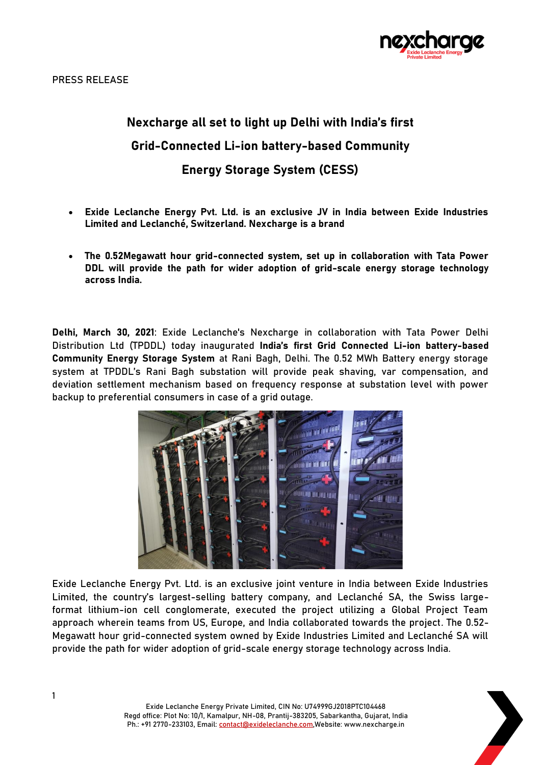

# **Nexcharge all set to light up Delhi with India's first Grid-Connected Li-ion battery-based Community Energy Storage System (CESS)**

- **Exide Leclanche Energy Pvt. Ltd. is an exclusive JV in India between Exide Industries Limited and Leclanché, Switzerland. Nexcharge is a brand**
- **The 0.52Megawatt hour grid-connected system, set up in collaboration with Tata Power DDL will provide the path for wider adoption of grid-scale energy storage technology across India.**

**Delhi, March 30, 2021**: Exide Leclanche's Nexcharge in collaboration with Tata Power Delhi Distribution Ltd (TPDDL) today inaugurated **India's first Grid Connected Li-ion battery-based Community Energy Storage System** at Rani Bagh, Delhi. The 0.52 MWh Battery energy storage system at TPDDL's Rani Bagh substation will provide peak shaving, var compensation, and deviation settlement mechanism based on frequency response at substation level with power backup to preferential consumers in case of a grid outage.



Exide Leclanche Energy Pvt. Ltd. is an exclusive joint venture in India between Exide Industries Limited, the country's largest-selling battery company, and Leclanché SA, the Swiss largeformat lithium-ion cell conglomerate, executed the project utilizing a Global Project Team approach wherein teams from US, Europe, and India collaborated towards the project. The 0.52- Megawatt hour grid-connected system owned by Exide Industries Limited and Leclanché SA will provide the path for wider adoption of grid-scale energy storage technology across India.

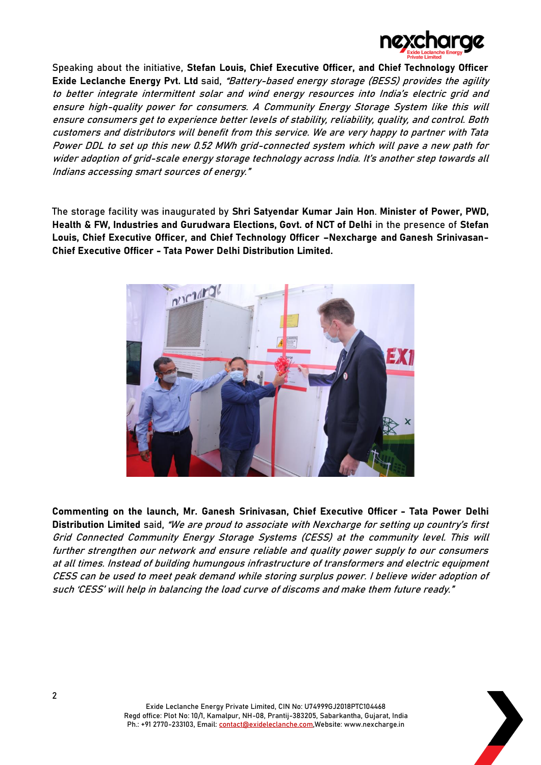

Speaking about the initiative, **Stefan Louis, Chief Executive Officer, and Chief Technology Officer Exide Leclanche Energy Pvt. Ltd** said, "Battery-based energy storage (BESS) provides the agility to better integrate intermittent solar and wind energy resources into India's electric grid and ensure high-quality power for consumers. A Community Energy Storage System like this will ensure consumers get to experience better levels of stability, reliability, quality, and control. Both customers and distributors will benefit from this service. We are very happy to partner with Tata Power DDL to set up this new 0.52 MWh grid-connected system which will pave a new path for wider adoption of grid-scale energy storage technology across India. It's another step towards all Indians accessing smart sources of energy."

The storage facility was inaugurated by **Shri Satyendar Kumar Jain Hon**. **Minister of Power, PWD, Health & FW, Industries and Gurudwara Elections, Govt. of NCT of Delhi** in the presence of **Stefan Louis, Chief Executive Officer, and Chief Technology Officer –Nexcharge and Ganesh Srinivasan-Chief Executive Officer - Tata Power Delhi Distribution Limited.** 



**Commenting on the launch, Mr. Ganesh Srinivasan, Chief Executive Officer - Tata Power Delhi Distribution Limited** said, "We are proud to associate with Nexcharge for setting up country's first Grid Connected Community Energy Storage Systems (CESS) at the community level. This will further strengthen our network and ensure reliable and quality power supply to our consumers at all times. Instead of building humungous infrastructure of transformers and electric equipment CESS can be used to meet peak demand while storing surplus power. I believe wider adoption of such 'CESS' will help in balancing the load curve of discoms and make them future ready."

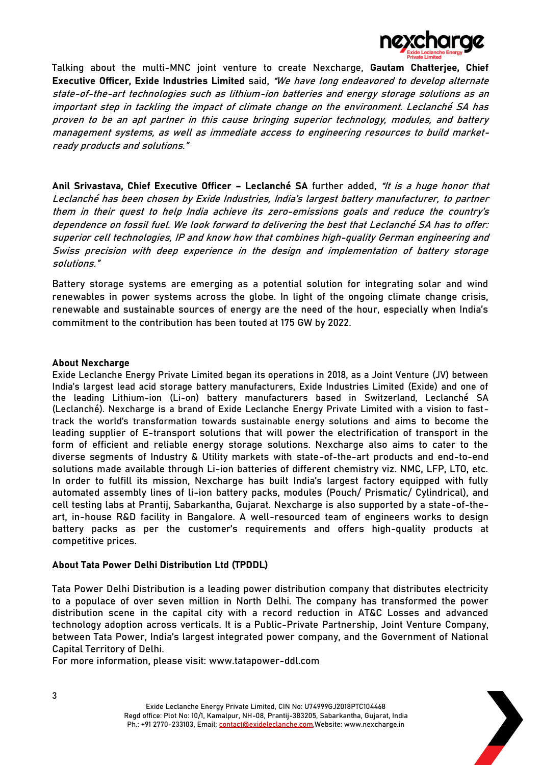

Talking about the multi-MNC joint venture to create Nexcharge, **Gautam Chatterjee, Chief Executive Officer, Exide Industries Limited** said, "We have long endeavored to develop alternate state-of-the-art technologies such as lithium-ion batteries and energy storage solutions as an important step in tackling the impact of climate change on the environment. Leclanché SA has proven to be an apt partner in this cause bringing superior technology, modules, and battery management systems, as well as immediate access to engineering resources to build marketready products and solutions."

**Anil Srivastava, Chief Executive Officer – Leclanché SA** further added, "It is a huge honor that Leclanché has been chosen by Exide Industries, India's largest battery manufacturer, to partner them in their quest to help India achieve its zero-emissions goals and reduce the country's dependence on fossil fuel. We look forward to delivering the best that Leclanché SA has to offer: superior cell technologies, IP and know how that combines high-quality German engineering and Swiss precision with deep experience in the design and implementation of battery storage solutions."

Battery storage systems are emerging as a potential solution for integrating solar and wind renewables in power systems across the globe. In light of the ongoing climate change crisis, renewable and sustainable sources of energy are the need of the hour, especially when India's commitment to the contribution has been touted at 175 GW by 2022.

## **About Nexcharge**

Exide Leclanche Energy Private Limited began its operations in 2018, as a Joint Venture (JV) between India's largest lead acid storage battery manufacturers, Exide Industries Limited (Exide) and one of the leading Lithium-ion (Li-on) battery manufacturers based in Switzerland, Leclanché SA (Leclanché). Nexcharge is a brand of Exide Leclanche Energy Private Limited with a vision to fasttrack the world's transformation towards sustainable energy solutions and aims to become the leading supplier of E-transport solutions that will power the electrification of transport in the form of efficient and reliable energy storage solutions. Nexcharge also aims to cater to the diverse segments of Industry & Utility markets with state-of-the-art products and end-to-end solutions made available through Li-ion batteries of different chemistry viz. NMC, LFP, LTO, etc. In order to fulfill its mission, Nexcharge has built India's largest factory equipped with fully automated assembly lines of li-ion battery packs, modules (Pouch/ Prismatic/ Cylindrical), and cell testing labs at Prantij, Sabarkantha, Gujarat. Nexcharge is also supported by a state-of-theart, in-house R&D facility in Bangalore. A well-resourced team of engineers works to design battery packs as per the customer's requirements and offers high-quality products at competitive prices.

## **About Tata Power Delhi Distribution Ltd (TPDDL)**

Tata Power Delhi Distribution is a leading power distribution company that distributes electricity to a populace of over seven million in North Delhi. The company has transformed the power distribution scene in the capital city with a record reduction in AT&C Losses and advanced technology adoption across verticals. It is a Public-Private Partnership, Joint Venture Company, between Tata Power, India's largest integrated power company, and the Government of National Capital Territory of Delhi.

For more information, please visit: [www.tatapower-ddl.com](http://www.tatapower-ddl.com/)